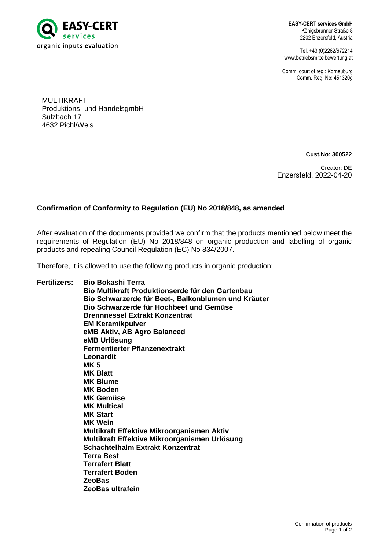

**EASY-CERT services GmbH** Königsbrunner Straße 8 2202 Enzersfeld, Austria

Tel. +43 (0)2262/672214 www.betriebsmittelbewertung.at

Comm. court of reg.: Korneuburg Comm. Reg. No: 451320g

MULTIKRAFT Produktions- und HandelsgmbH Sulzbach 17 4632 Pichl/Wels

**Cust.No: 300522**

Creator: DE Enzersfeld, 2022-04-20

## **Confirmation of Conformity to Regulation (EU) No 2018/848, as amended**

After evaluation of the documents provided we confirm that the products mentioned below meet the requirements of Regulation (EU) No 2018/848 on organic production and labelling of organic products and repealing Council Regulation (EC) No 834/2007.

Therefore, it is allowed to use the following products in organic production:

**Fertilizers: Bio Bokashi Terra Bio Multikraft Produktionserde für den Gartenbau Bio Schwarzerde für Beet-, Balkonblumen und Kräuter Bio Schwarzerde für Hochbeet und Gemüse Brennnessel Extrakt Konzentrat EM Keramikpulver eMB Aktiv, AB Agro Balanced eMB Urlösung Fermentierter Pflanzenextrakt Leonardit MK 5 MK Blatt MK Blume MK Boden MK Gemüse MK Multical MK Start MK Wein Multikraft Effektive Mikroorganismen Aktiv Multikraft Effektive Mikroorganismen Urlösung Schachtelhalm Extrakt Konzentrat Terra Best Terrafert Blatt Terrafert Boden ZeoBas ZeoBas ultrafein**